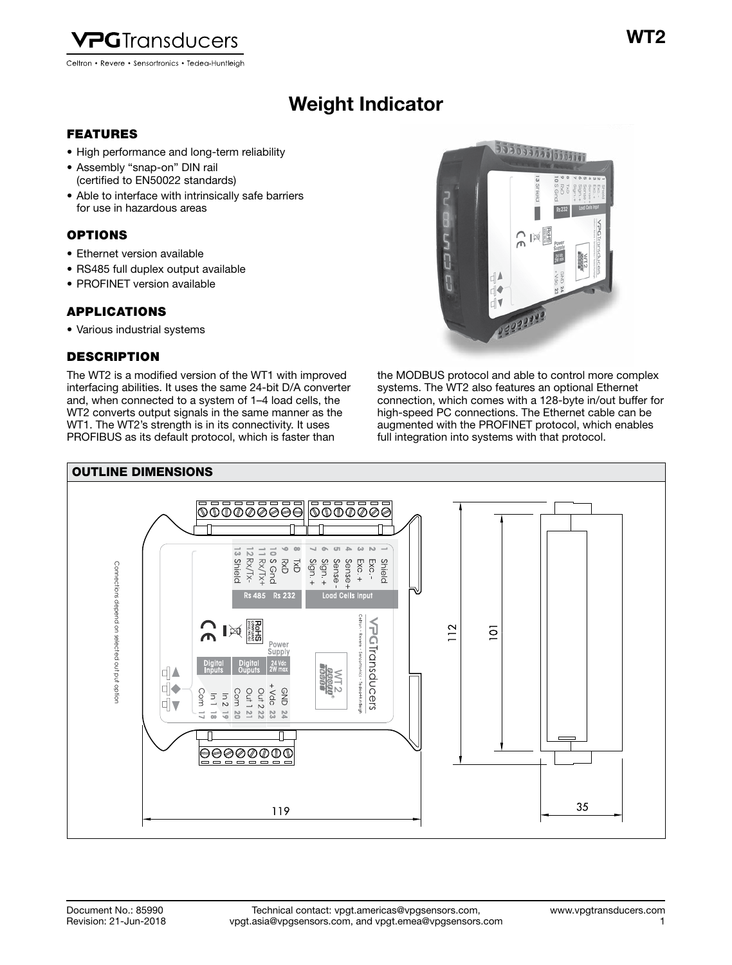

Celtron • Revere • Sensortronics • Tedea-Huntleigh

# Weight Indicator Weight Indicator

### FEATURES

- High performance and long-term reliability
- Assembly "snap-on" DIN rail (certified to EN50022 standards)
- Able to interface with intrinsically safe barriers for use in hazardous areas

# OPTIONS

- Ethernet version available
- RS485 full duplex output available
- PROFINET version available

# APPLICATIONS

• Various industrial systems

# DESCRIPTION

The WT2 is a modified version of the WT1 with improved interfacing abilities. It uses the same 24-bit D/A converter and, when connected to a system of 1–4 load cells, the WT2 converts output signals in the same manner as the WT1. The WT2's strength is in its connectivity. It uses PROFIBUS as its default protocol, which is faster than



the MODBUS protocol and able to control more complex systems. The WT2 also features an optional Ethernet connection, which comes with a 128-byte in/out buffer for high-speed PC connections. The Ethernet cable can be augmented with the PROFINET protocol, which enables full integration into systems with that protocol.

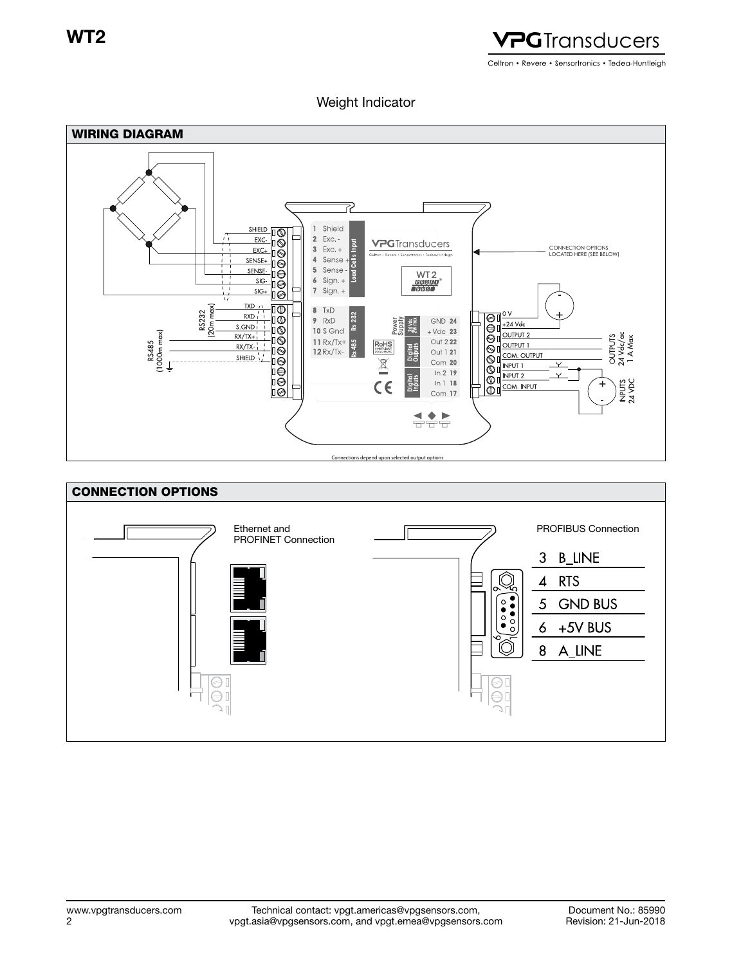

# Weight Indicator



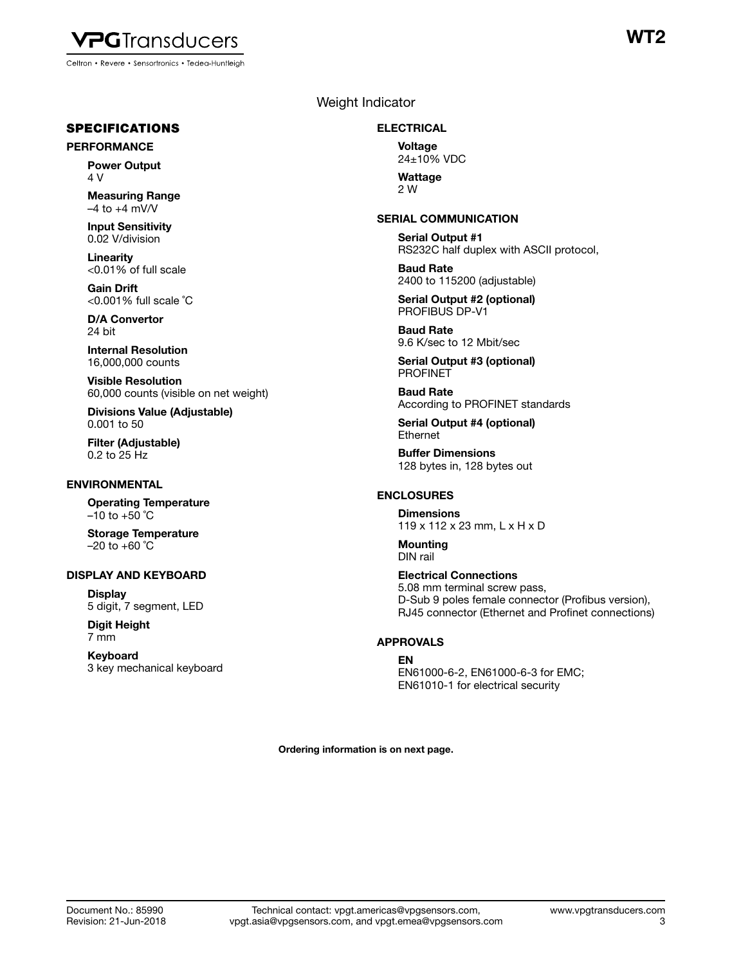

SPECIFICATIONS

#### PERFORMANCE

Power Output 4 V

Measuring Range  $-4$  to  $+4$  mV/V

Input Sensitivity 0.02 V/division

Linearity <0.01% of full scale

Gain Drift <0.001% full scale ˚C

D/A Convertor 24 bit

Internal Resolution 16,000,000 counts

Visible Resolution 60,000 counts (visible on net weight)

Divisions Value (Adjustable) 0.001 to 50

Filter (Adjustable) 0.2 to 25 Hz

#### ENVIRONMENTAL

Operating Temperature  $-10$  to  $+50$  °C

Storage Temperature  $-20$  to  $+60$  °C

#### DISPLAY AND KEYBOARD

**Display** 5 digit, 7 segment, LED

Digit Height 7 mm

Keyboard 3 key mechanical keyboard

# Weight Indicator

#### ELECTRICAL

Voltage 24±10% VDC

**Wattage** 2 W

#### SERIAL COMMUNICATION

Serial Output #1 RS232C half duplex with ASCII protocol,

Baud Rate 2400 to 115200 (adjustable)

Serial Output #2 (optional) PROFIBUS DP-V1

Baud Rate 9.6 K/sec to 12 Mbit/sec

Serial Output #3 (optional) PROFINET

Baud Rate According to PROFINET standards

Serial Output #4 (optional) Ethernet

Buffer Dimensions 128 bytes in, 128 bytes out

#### ENCLOSURES

**Dimensions** 119 x 112 x 23 mm, L x H x D

Mounting DIN rail

Electrical Connections 5.08 mm terminal screw pass, D-Sub 9 poles female connector (Profibus version), RJ45 connector (Ethernet and Profinet connections)

#### APPROVALS

#### EN

EN61000-6-2, EN61000-6-3 for EMC; EN61010-1 for electrical security

Ordering information is on next page.